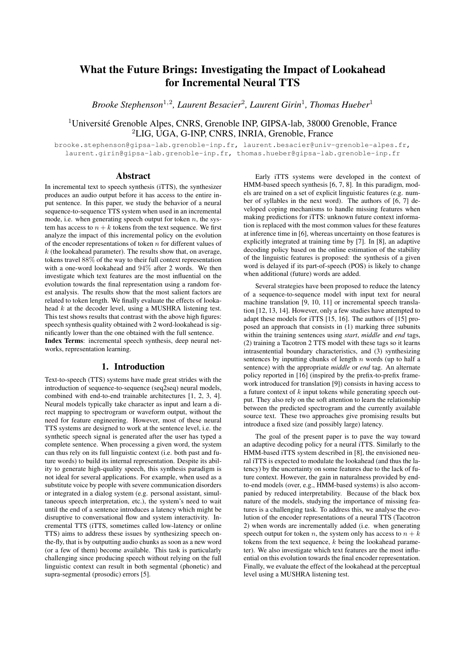# What the Future Brings: Investigating the Impact of Lookahead for Incremental Neural TTS

*Brooke Stephenson*<sup>1</sup>,<sup>2</sup> *, Laurent Besacier*<sup>2</sup> *, Laurent Girin*<sup>1</sup> *, Thomas Hueber*<sup>1</sup>

## <sup>1</sup>Université Grenoble Alpes, CNRS, Grenoble INP, GIPSA-lab, 38000 Grenoble, France <sup>2</sup>LIG, UGA, G-INP, CNRS, INRIA, Grenoble, France

brooke.stephenson@gipsa-lab.grenoble-inp.fr, laurent.besacier@univ-grenoble-alpes.fr, laurent.girin@gipsa-lab.grenoble-inp.fr, thomas.hueber@gipsa-lab.grenoble-inp.fr

### Abstract

In incremental text to speech synthesis (iTTS), the synthesizer produces an audio output before it has access to the entire input sentence. In this paper, we study the behavior of a neural sequence-to-sequence TTS system when used in an incremental mode, i.e. when generating speech output for token  $n$ , the system has access to  $n + k$  tokens from the text sequence. We first analyze the impact of this incremental policy on the evolution of the encoder representations of token  $n$  for different values of  $k$  (the lookahead parameter). The results show that, on average, tokens travel 88% of the way to their full context representation with a one-word lookahead and 94% after 2 words. We then investigate which text features are the most influential on the evolution towards the final representation using a random forest analysis. The results show that the most salient factors are related to token length. We finally evaluate the effects of lookahead k at the decoder level, using a MUSHRA listening test. This test shows results that contrast with the above high figures: speech synthesis quality obtained with 2 word-lookahead is significantly lower than the one obtained with the full sentence. Index Terms: incremental speech synthesis, deep neural networks, representation learning.

## 1. Introduction

Text-to-speech (TTS) systems have made great strides with the introduction of sequence-to-sequence (seq2seq) neural models, combined with end-to-end trainable architectures [1, 2, 3, 4]. Neural models typically take character as input and learn a direct mapping to spectrogram or waveform output, without the need for feature engineering. However, most of these neural TTS systems are designed to work at the sentence level, i.e. the synthetic speech signal is generated after the user has typed a complete sentence. When processing a given word, the system can thus rely on its full linguistic context (i.e. both past and future words) to build its internal representation. Despite its ability to generate high-quality speech, this synthesis paradigm is not ideal for several applications. For example, when used as a substitute voice by people with severe communication disorders or integrated in a dialog system (e.g. personal assistant, simultaneous speech interpretation, etc.), the system's need to wait until the end of a sentence introduces a latency which might be disruptive to conversational flow and system interactivity. Incremental TTS (iTTS, sometimes called low-latency or online TTS) aims to address these issues by synthesizing speech onthe-fly, that is by outputting audio chunks as soon as a new word (or a few of them) become available. This task is particularly challenging since producing speech without relying on the full linguistic context can result in both segmental (phonetic) and supra-segmental (prosodic) errors [5].

Early iTTS systems were developed in the context of HMM-based speech synthesis [6, 7, 8]. In this paradigm, models are trained on a set of explicit linguistic features (e.g. number of syllables in the next word). The authors of [6, 7] developed coping mechanisms to handle missing features when making predictions for iTTS: unknown future context information is replaced with the most common values for these features at inference time in [6], whereas uncertainty on those features is explicitly integrated at training time by [7]. In [8], an adaptive decoding policy based on the online estimation of the stability of the linguistic features is proposed: the synthesis of a given word is delayed if its part-of-speech (POS) is likely to change when additional (future) words are added.

Several strategies have been proposed to reduce the latency of a sequence-to-sequence model with input text for neural machine translation [9, 10, 11] or incremental speech translation [12, 13, 14]. However, only a few studies have attempted to adapt these models for iTTS [15, 16]. The authors of [15] proposed an approach that consists in (1) marking three subunits within the training sentences using *start*, *middle* and *end* tags, (2) training a Tacotron 2 TTS model with these tags so it learns intrasentential boundary characteristics, and (3) synthesizing sentences by inputting chunks of length  $n$  words (up to half a sentence) with the appropriate *middle* or *end* tag. An alternate policy reported in [16] (inspired by the prefix-to-prefix framework introduced for translation [9]) consists in having access to a future context of k input tokens while generating speech output. They also rely on the soft attention to learn the relationship between the predicted spectrogram and the currently available source text. These two approaches give promising results but introduce a fixed size (and possibly large) latency.

The goal of the present paper is to pave the way toward an adaptive decoding policy for a neural iTTS. Similarly to the HMM-based iTTS system described in [8], the envisioned neural iTTS is expected to modulate the lookahead (and thus the latency) by the uncertainty on some features due to the lack of future context. However, the gain in naturalness provided by endto-end models (over, e.g., HMM-based systems) is also accompanied by reduced interpretability. Because of the black box nature of the models, studying the importance of missing features is a challenging task. To address this, we analyse the evolution of the encoder representations of a neural TTS (Tacotron 2) when words are incrementally added (i.e. when generating speech output for token n, the system only has access to  $n + k$ tokens from the text sequence, k being the lookahead parameter). We also investigate which text features are the most influential on this evolution towards the final encoder representation. Finally, we evaluate the effect of the lookahead at the perceptual level using a MUSHRA listening test.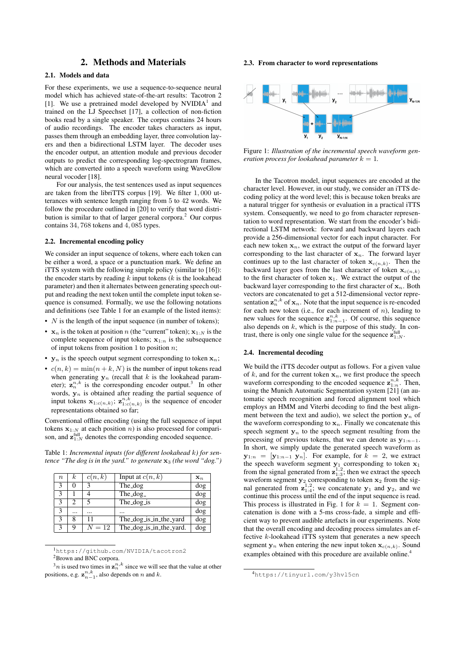## 2. Methods and Materials

## 2.1. Models and data

For these experiments, we use a sequence-to-sequence neural model which has achieved state-of-the-art results: Tacotron 2 [1]. We use a pretrained model developed by  $NVIDIA<sup>1</sup>$  and trained on the LJ Speechset [17], a collection of non-fiction books read by a single speaker. The corpus contains 24 hours of audio recordings. The encoder takes characters as input, passes them through an embedding layer, three convolution layers and then a bidirectional LSTM layer. The decoder uses the encoder output, an attention module and previous decoder outputs to predict the corresponding log-spectrogram frames, which are converted into a speech waveform using WaveGlow neural vocoder [18].

For our analysis, the test sentences used as input sequences are taken from the libriTTS corpus [19]. We filter 1, 000 utterances with sentence length ranging from 5 to 42 words. We follow the procedure outlined in [20] to verify that word distribution is similar to that of larger general corpora.<sup>2</sup> Our corpus contains 34, 768 tokens and 4, 085 types.

#### 2.2. Incremental encoding policy

We consider an input sequence of tokens, where each token can be either a word, a space or a punctuation mark. We define an iTTS system with the following simple policy (similar to [16]): the encoder starts by reading  $k$  input tokens  $(k$  is the lookahead parameter) and then it alternates between generating speech output and reading the next token until the complete input token sequence is consumed. Formally, we use the following notations and definitions (see Table 1 for an example of the listed items):

- $N$  is the length of the input sequence (in number of tokens);
- $\mathbf{x}_n$  is the token at position n (the "current" token);  $\mathbf{x}_{1:N}$  is the complete sequence of input tokens;  $x_{1:n}$  is the subsequence of input tokens from position 1 to position  $n$ ;
- $y_n$  is the speech output segment corresponding to token  $x_n$ ;
- $c(n, k) = \min(n + k, N)$  is the number of input tokens read when generating  $y_n$  (recall that k is the lookahead parameter);  $z_n^{n,k}$  is the corresponding encoder output.<sup>3</sup> In other words,  $y_n$  is obtained after reading the partial sequence of input tokens  $\mathbf{x}_{1:c(n,k)}$ ;  $\mathbf{z}_{1:c(n,k)}^{n,k}$  is the sequence of encoder representations obtained so far;

Conventional offline encoding (using the full sequence of input tokens  $x_{1:N}$  at each position n) is also processed for comparison, and  $\mathbf{z}_{1:N}^{\text{full}}$  denotes the corresponding encoded sequence.

Table 1: *Incremental inputs (for different lookahead* k*) for sentence "The dog is in the yard." to generate*  $x_3$  *(the word "dog.")* 

| $\boldsymbol{n}$ | k.       | c(n,k)              | Input at $c(n, k)$      | $\mathbf{x}_n$          |
|------------------|----------|---------------------|-------------------------|-------------------------|
| 3                | 0        | 2                   | The_dog                 | $\overline{\text{dog}}$ |
| 3                |          |                     | The $\log_{2}$          | dog                     |
| 3                | 2        |                     | The_dog_is              | dog                     |
| 3                | $\cdots$ |                     |                         | dog                     |
| 3                | 8        | 11                  | The_dog_is_in_the_yard  | dog                     |
| 3                | 9        | $\overline{N} = 12$ | The_dog_is_in_the_yard. | dog                     |

<sup>1</sup>https://github.com/NVIDIA/tacotron2 <sup>2</sup>Brown and BNC corpora.

 $\beta_n$  is used two times in  $\mathbf{z}_n^{n,k}$  since we will see that the value at other positions, e.g.  $\mathbf{z}_{n-1}^{n,k}$ , also depends on n and k.

#### 2.3. From character to word representations



Figure 1: *Illustration of the incremental speech waveform generation process for lookahead parameter*  $k = 1$ *.* 

In the Tacotron model, input sequences are encoded at the character level. However, in our study, we consider an iTTS decoding policy at the word level; this is because token breaks are a natural trigger for synthesis or evaluation in a practical iTTS system. Consequently, we need to go from character representation to word representation. We start from the encoder's bidirectional LSTM network: forward and backward layers each provide a 256-dimensional vector for each input character. For each new token  $x_n$ , we extract the output of the forward layer corresponding to the last character of  $x_n$ . The forward layer continues up to the last character of token  $\mathbf{x}_{c(n,k)}$ . Then the backward layer goes from the last character of token  $x_{c(n,k)}$ to the first character of token  $x_1$ . We extract the output of the backward layer corresponding to the first character of  $x_n$ . Both vectors are concatenated to get a 512-dimensional vector representation  $z_n^{n,k}$  of  $x_n$ . Note that the input sequence is re-encoded for each new token (i.e., for each increment of  $n$ ), leading to new values for the sequence  $z_{1:n-1}^{n,k}$ . Of course, this sequence also depends on  $k$ , which is the purpose of this study. In contrast, there is only one single value for the sequence  $\mathbf{z}_{1:N}^{\text{full}}$ .

#### 2.4. Incremental decoding

We build the iTTS decoder output as follows. For a given value of k, and for the current token  $x_n$ , we first produce the speech waveform corresponding to the encoded sequence  $\mathbf{z}_{1:n}^{n,k}$ . Then, using the Munich Automatic Segmentation system [21] (an automatic speech recognition and forced alignment tool which employs an HMM and Viterbi decoding to find the best alignment between the text and audio), we select the portion  $y_n$  of the waveform corresponding to  $x_n$ . Finally we concatenate this speech segment  $y_n$  to the speech segment resulting from the processing of previous tokens, that we can denote as  $y_{1:n-1}$ . In short, we simply update the generated speech waveform as  $y_{1:n} = [y_{1:n-1} y_n]$ . For example, for  $k = 2$ , we extract the speech waveform segment  $y_1$  corresponding to token  $x_1$ from the signal generated from  $\mathbf{z}_{1:3}^{1,2}$ ; then we extract the speech waveform segment  $y_2$  corresponding to token  $x_2$  from the signal generated from  $z_{1:4}^{1,2}$ ; we concatenate  $y_1$  and  $y_2$ , and we continue this process until the end of the input sequence is read. This process is illustrated in Fig. 1 for  $k = 1$ . Segment concatenation is done with a 5-ms cross-fade, a simple and efficient way to prevent audible artefacts in our experiments. Note that the overall encoding and decoding process simulates an effective k-lookahead iTTS system that generates a new speech segment  $y_n$  when entering the new input token  $x_{c(n,k)}$ . Sound examples obtained with this procedure are available online.<sup>4</sup>

<sup>4</sup>https://tinyurl.com/y3hvl5cn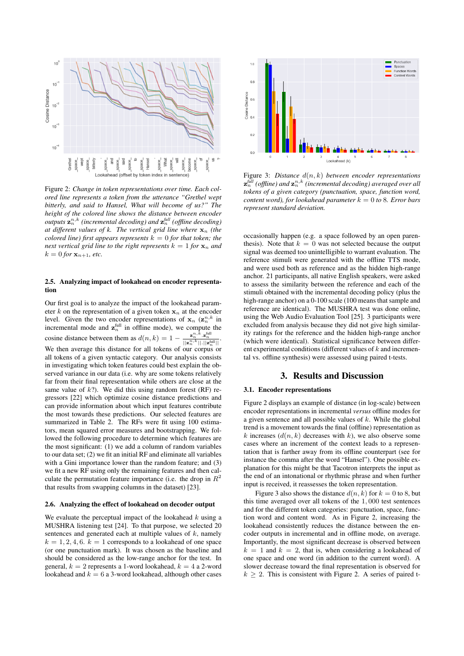

Figure 2: *Change in token representations over time. Each colored line represents a token from the utterance "Grethel wept bitterly, and said to Hansel, What will become of us?" The height of the colored line shows the distance between encoder*  $\mathit{outputs}\ \mathbf{z}_n^{n,k}$  (incremental decoding) and  $\mathbf{z}_n^{\mathit{full}}$  (offline decoding) *at different values of k. The vertical grid line where*  $\mathbf{x}_n$  *(the colored line) first appears represents*  $k = 0$  *for that token; the next vertical grid line to the right represents*  $k = 1$  *for*  $\mathbf{x}_n$  *and*  $k = 0$  *for*  $x_{n+1}$ *, etc.* 

#### 2.5. Analyzing impact of lookahead on encoder representation

Our first goal is to analyze the impact of the lookahead parameter k on the representation of a given token  $x_n$  at the encoder level. Given the two encoder representations of  $x_n$   $(\mathbf{z}_n^{n,k})$  in incremental mode and  $z_n^{\text{full}}$  in offline mode), we compute the cosine distance between them as  $d(n, k) = 1 - \frac{\mathbf{z}_n^{n, k} \cdot \mathbf{z}_n^{\text{full}}}{||\mathbf{z}_n^{n, k}|| \cdot ||\mathbf{z}_n^{\text{full}}||}$ . We then average this distance for all tokens of our corpus or all tokens of a given syntactic category. Our analysis consists in investigating which token features could best explain the observed variance in our data (i.e. why are some tokens relatively far from their final representation while others are close at the same value of  $k$ ?). We did this using random forest (RF) regressors [22] which optimize cosine distance predictions and can provide information about which input features contribute the most towards these predictions. Our selected features are summarized in Table 2. The RFs were fit using 100 estimators, mean squared error measures and bootstrapping. We followed the following procedure to determine which features are the most significant: (1) we add a column of random variables to our data set; (2) we fit an initial RF and eliminate all variables with a Gini importance lower than the random feature; and (3) we fit a new RF using only the remaining features and then calculate the permutation feature importance (i.e. the drop in  $R^2$ that results from swapping columns in the dataset) [23].

#### 2.6. Analyzing the effect of lookahead on decoder output

We evaluate the perceptual impact of the lookahead  $k$  using a MUSHRA listening test [24]. To that purpose, we selected 20 sentences and generated each at multiple values of  $k$ , namely  $k = 1, 2, 4, 6, k = 1$  corresponds to a lookahead of one space (or one punctuation mark). It was chosen as the baseline and should be considered as the low-range anchor for the test. In general,  $k = 2$  represents a 1-word lookahead,  $k = 4$  a 2-word lookahead and  $k = 6$  a 3-word lookahead, although other cases



Figure 3: *Distance* d(n, k) *between encoder representations*  $\mathbf{z}_{n}^{\text{full}}$  (offline) and  $\mathbf{z}_{n}^{n,k}$  (incremental decoding) averaged over all *tokens of a given category (punctuation, space, function word, content word), for lookahead parameter*  $k = 0$  to 8*. Error bars represent standard deviation.*

occasionally happen (e.g. a space followed by an open parenthesis). Note that  $k = 0$  was not selected because the output signal was deemed too unintelligible to warrant evaluation. The reference stimuli were generated with the offline TTS mode, and were used both as reference and as the hidden high-range anchor. 21 participants, all native English speakers, were asked to assess the similarity between the reference and each of the stimuli obtained with the incremental decoding policy (plus the high-range anchor) on a 0-100 scale (100 means that sample and reference are identical). The MUSHRA test was done online, using the Web Audio Evaluation Tool [25]. 3 participants were excluded from analysis because they did not give high similarity ratings for the reference and the hidden high-range anchor (which were identical). Statistical significance between different experimental conditions (different values of  $k$  and incremental vs. offline synthesis) were assessed using paired t-tests.

## 3. Results and Discussion

### 3.1. Encoder representations

Figure 2 displays an example of distance (in log-scale) between encoder representations in incremental *versus* offline modes for a given sentence and all possible values of  $k$ . While the global trend is a movement towards the final (offline) representation as k increases  $(d(n, k)$  decreases with k), we also observe some cases where an increment of the context leads to a representation that is farther away from its offline counterpart (see for instance the comma after the word "Hansel"). One possible explanation for this might be that Tacotron interprets the input as the end of an intonational or rhythmic phrase and when further input is received, it reassesses the token representation.

Figure 3 also shows the distance  $d(n, k)$  for  $k = 0$  to 8, but this time averaged over all tokens of the 1, 000 test sentences and for the different token categories: punctuation, space, function word and content word. As in Figure 2, increasing the lookahead consistently reduces the distance between the encoder outputs in incremental and in offline mode, on average. Importantly, the most significant decrease is observed between  $k = 1$  and  $k = 2$ , that is, when considering a lookahead of one space and one word (in addition to the current word). A slower decrease toward the final representation is observed for  $k \geq 2$ . This is consistent with Figure 2. A series of paired t-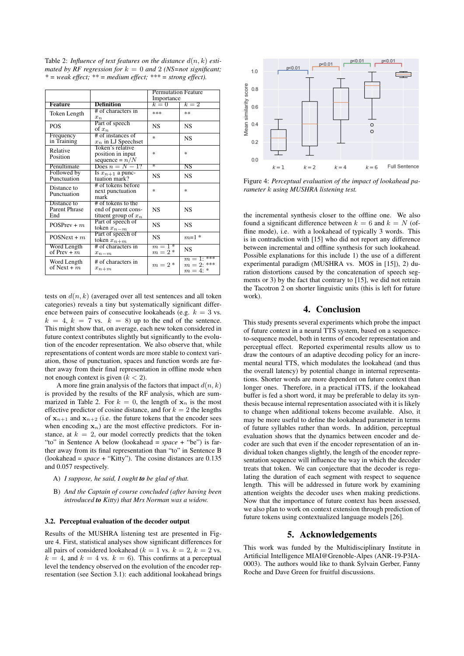Table 2: *Influence of text features on the distance*  $d(n, k)$  *estimated by RF regression for*  $k = 0$  *and* 2 *(NS=not significant; \* = weak effect; \*\* = medium effect; \*\*\* = strong effect).*

|                                            |                                                                     | <b>Permutation Feature</b><br>Importance |                                             |
|--------------------------------------------|---------------------------------------------------------------------|------------------------------------------|---------------------------------------------|
| <b>Feature</b>                             | <b>Definition</b>                                                   | $k=0$                                    | $k=2$                                       |
| Token Length                               | # of characters in<br>$x_n$                                         | ***                                      | **                                          |
| <b>POS</b>                                 | Part of speech<br>of $x_n$                                          | <b>NS</b>                                | <b>NS</b>                                   |
| Frequency<br>in Training                   | # of instances of<br>$x_n$ in LJ Speechset                          | 永                                        | <b>NS</b>                                   |
| Relative<br>Position                       | Token's relative<br>position in input<br>sequence = $n/N$           | 冰                                        | 漱                                           |
| Penultimate                                | Does $n = N - 1$ ?                                                  | ÷                                        | $_{\rm NS}$                                 |
| Followed by<br>Punctuation                 | Is $x_{n+1}$ a punc-<br>tuation mark?                               | NS                                       | <b>NS</b>                                   |
| Distance to<br>Punctuation                 | # of tokens before<br>next punctuation<br>mark                      | sk.                                      | 冰                                           |
| Distance to<br><b>Parent Phrase</b><br>End | # of tokens to the<br>end of parent cons-<br>tituent group of $x_n$ | <b>NS</b>                                | <b>NS</b>                                   |
| $POSPrev + m$                              | Part of speech of<br>token $x_{n-m}$                                | <b>NS</b>                                | <b>NS</b>                                   |
| $POSNext + m$                              | Part of speech of<br>token $x_{n+m}$                                | <b>NS</b>                                | $m=1$ *                                     |
| Word Length<br>of Prev + $\overline{m}$    | # of characters in<br>$x_{n-m}$                                     | $m \equiv \overline{1*}$<br>$m=2*$       | <b>NS</b>                                   |
| Word Length<br>of Next + $m$               | # of characters in<br>$x_{n+m}$                                     | $m=2*$                                   | $m = 1:***$<br>$m = 2$ : ***<br>$m = 4$ : * |

tests on  $d(n, k)$  (averaged over all test sentences and all token categories) reveals a tiny but systematically significant difference between pairs of consecutive lookaheads (e.g.  $k = 3$  vs.  $k = 4, k = 7$  vs.  $k = 8$ ) up to the end of the sentence. This might show that, on average, each new token considered in future context contributes slightly but significantly to the evolution of the encoder representation. We also observe that, while representations of content words are more stable to context variation, those of punctuation, spaces and function words are further away from their final representation in offline mode when not enough context is given  $(k < 2)$ .

A more fine grain analysis of the factors that impact  $d(n, k)$ is provided by the results of the RF analysis, which are summarized in Table 2. For  $k = 0$ , the length of  $x_n$  is the most effective predictor of cosine distance, and for  $k = 2$  the lengths of  $x_{n+1}$  and  $x_{n+2}$  (i.e. the future tokens that the encoder sees when encoding  $x_n$ ) are the most effective predictors. For instance, at  $k = 2$ , our model correctly predicts that the token "to" in Sentence A below (lookahead = *space* + "be") is farther away from its final representation than "to" in Sentence B (lookahead = *space* + "Kitty"). The cosine distances are 0.135 and 0.057 respectively.

- A) *I suppose, he said, I ought to be glad of that.*
- B) *And the Captain of course concluded (after having been introduced to Kitty) that Mrs Norman was a widow.*

#### 3.2. Perceptual evaluation of the decoder output

Results of the MUSHRA listening test are presented in Figure 4. First, statistical analyses show significant differences for all pairs of considered lookahead ( $k = 1$  vs.  $k = 2$ ,  $k = 2$  vs.  $k = 4$ , and  $k = 4$  vs.  $k = 6$ ). This confirms at a perceptual level the tendency observed on the evolution of the encoder representation (see Section 3.1): each additional lookahead brings



Figure 4: *Perceptual evaluation of the impact of lookahead parameter* k *using MUSHRA listening test.*

the incremental synthesis closer to the offline one. We also found a significant difference between  $k = 6$  and  $k = N$  (offline mode), i.e. with a lookahead of typically 3 words. This is in contradiction with [15] who did not report any difference between incremental and offline synthesis for such lookahead. Possible explanations for this include 1) the use of a different experimental paradigm (MUSHRA vs. MOS in [15]), 2) duration distortions caused by the concatenation of speech segments or 3) by the fact that contrary to [15], we did not retrain the Tacotron 2 on shorter linguistic units (this is left for future work).

## 4. Conclusion

This study presents several experiments which probe the impact of future context in a neural TTS system, based on a sequenceto-sequence model, both in terms of encoder representation and perceptual effect. Reported experimental results allow us to draw the contours of an adaptive decoding policy for an incremental neural TTS, which modulates the lookahead (and thus the overall latency) by potential change in internal representations. Shorter words are more dependent on future context than longer ones. Therefore, in a practical iTTS, if the lookahead buffer is fed a short word, it may be preferable to delay its synthesis because internal representation associated with it is likely to change when additional tokens become available. Also, it may be more useful to define the lookahead parameter in terms of future syllables rather than words. In addition, perceptual evaluation shows that the dynamics between encoder and decoder are such that even if the encoder representation of an individual token changes slightly, the length of the encoder representation sequence will influence the way in which the decoder treats that token. We can conjecture that the decoder is regulating the duration of each segment with respect to sequence length. This will be addressed in future work by examining attention weights the decoder uses when making predictions. Now that the importance of future context has been assessed, we also plan to work on context extension through prediction of future tokens using contextualized language models [26].

## 5. Acknowledgements

This work was funded by the Multidisciplinary Institute in Artificial Intelligence MIAI@Grenoble-Alpes (ANR-19-P3IA-0003). The authors would like to thank Sylvain Gerber, Fanny Roche and Dave Green for fruitful discussions.